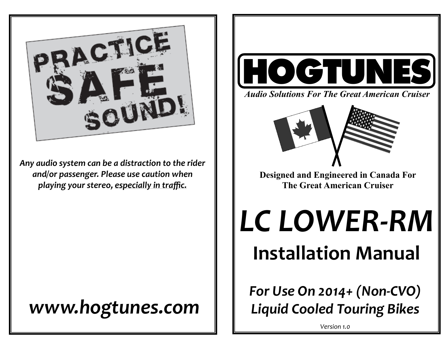

*Any audio system can be a distraction to the rider and/or passenger. Please use caution when playing your stereo, especially in traffic.* 

# *www.hogtunes.com*



*Audio Solutions For The Great American Cruiser*



**Designed and Engineered in Canada For The Great American Cruiser** 

*LC LOWER-RM*  **Installation Manual**

*For Use On 2014+ (Non-CVO) Liquid Cooled Touring Bikes*

*Version 1.0*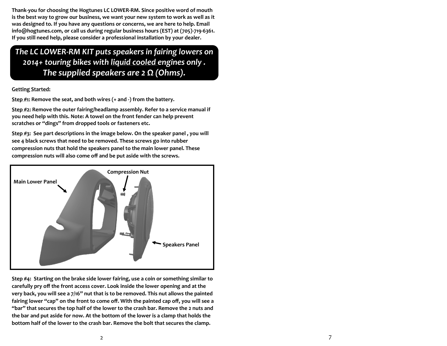**Thank-you for choosing the Hogtunes LC LOWER-RM. Since positive word of mouth is the best way to grow our business, we want your new system to work as well as it was designed to. If you have any questions or concerns, we are here to help. Email info@hogtunes.com, or call us during regular business hours (EST) at (705)-719-6361. If you still need help, please consider a professional installation by your dealer.** 

*The LC LOWER-RM KIT puts speakers in fairing lowers on 2014+ touring bikes with liquid cooled engines only . The supplied speakers are 2 Ω (Ohms).*

#### **Getting Started:**

**Step #1: Remove the seat, and both wires (+ and -) from the battery.**

**Step #2: Remove the outer fairing/headlamp assembly. Refer to a service manual if you need help with this. Note: A towel on the front fender can help prevent scratches or "dings" from dropped tools or fasteners etc.** 

**Step #3: See part descriptions in the image below. On the speaker panel , you will see 4 black screws that need to be removed. These screws go into rubber compression nuts that hold the speakers panel to the main lower panel. These compression nuts will also come off and be put aside with the screws.**



**Step #4: Starting on the brake side lower fairing, use a coin or something similar to carefully pry off the front access cover. Look inside the lower opening and at the very back, you will see a 7/16" nut that is to be removed. This nut allows the painted fairing lower "cap" on the front to come off. With the painted cap off, you will see a "bar" that secures the top half of the lower to the crash bar. Remove the 2 nuts and the bar and put aside for now. At the bottom of the lower is a clamp that holds the bottom half of the lower to the crash bar. Remove the bolt that secures the clamp.**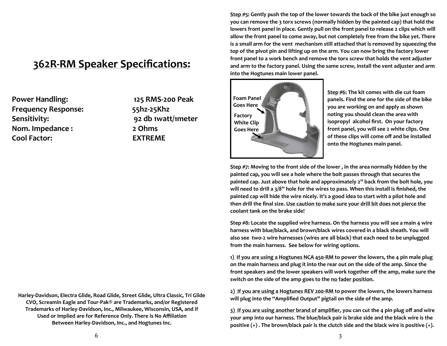## **362R-RM Speaker Specifications:**

**Power Handling: 125 RMS-200 Peak Frequency Response: 55hz-25Khz Sensitivity: 92 db 1watt/1meter Nom. Impedance : 2 Ohms Cool Factor: EXTREME**

**Harley-Davidson, Electra Glide, Road Glide, Street Glide, Ultra Classic, Tri Glide CVO, Screamin Eagle and Tour-Pak® are Trademarks, and/or Registered Trademarks of Harley-Davidson, Inc., Milwaukee, Wisconsin, USA, and if Used or Implied are for Reference Only. There is No Affiliation Between Harley-Davidson, Inc., and Hogtunes Inc.**

**Step #5: Gently push the top of the lower towards the back of the bike just enough so you can remove the 3 torx screws (normally hidden by the painted cap) that hold the lowers front panel in place. Gently pull on the front panel to release 2 clips which will allow the front panel to come away, but not completely free from the bike yet. There is a small arm for the vent mechanism still attached that is removed by squeezing the top of the pivot pin and lifting up on the arm. You can now bring the factory lower front panel to a work bench and remove the torx screw that holds the vent adjuster and arm to the factory panel. Using the same screw, install the vent adjuster and arm into the Hogtunes main lower panel.** 



**Step #6: The kit comes with die cut foam panels. Find the one for the side of the bike you are working on and apply as shown noting you should clean the area with isopropyl alcohol first. On your factory front panel, you will see 2 white clips. One of these clips will come off and be installed onto the Hogtunes main panel.** 

**Step #7: Moving to the front side of the lower , in the area normally hidden by the painted cap, you will see a hole where the bolt passes through that secures the painted cap. Just above that hole and approximately 2" back from the bolt hole, you will need to drill a 3/8" hole for the wires to pass. When this install is finished, the painted cap will hide the wire nicely. It's a good idea to start with a pilot hole and then drill the final size. Use caution to make sure your drill bit does not pierce the coolant tank on the brake side!**

**Step #8: Locate the supplied wire harness. On the harness you will see a main 4 wire harness with blue/black, and brown/black wires covered in a black sheath. You will also see two-2 wire harnesses (wires are all black) that each need to be unplugged from the main harness. See below for wiring options.**

**1) If you are using a Hogtunes NCA 450-RM to power the lowers, the 4 pin male plug on the main harness and plug it into the rear out on the side of the amp. Since the front speakers and the lower speakers will work together off the amp, make sure the switch on the side of the amp goes to the no fader position.** 

**2) If you are using a Hogtunes REV 200-RM to power the lowers, the lowers harness will plug into the "Amplified Output" pigtail on the side of the amp.**

**3) If you are using another brand of amplifier, you can cut the 4 pin plug off and wire your amp into our harness. The blue/black pair is brake side and the black wire is the positive (+) . The brown/black pair is the clutch side and the black wire is positive (+).**